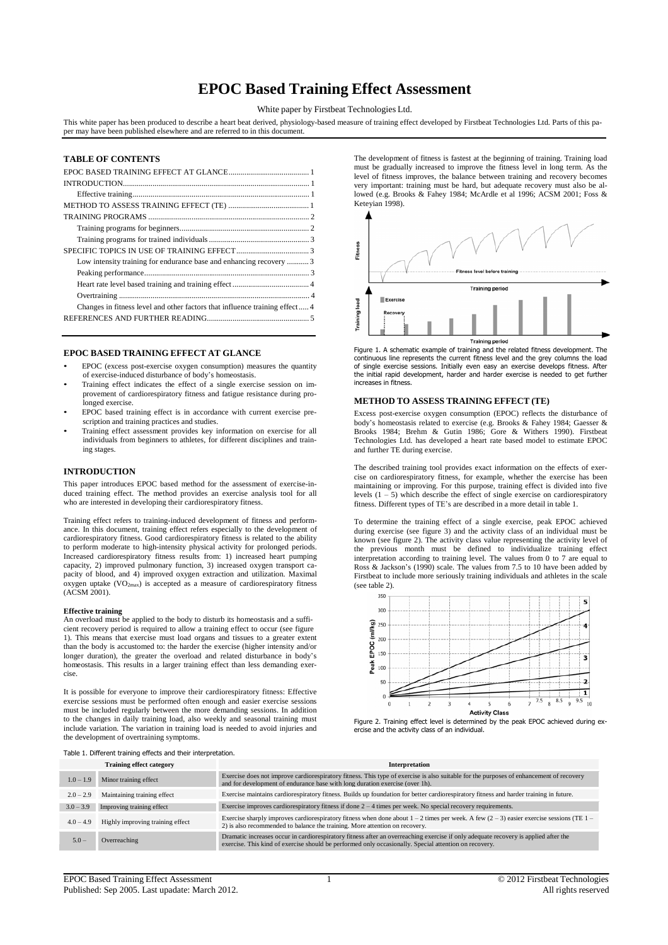# **EPOC Based Training Effect Assessment**

White paper by Firstbeat Technologies Ltd.

This white paper has been produced to describe a heart beat derived, physiology-based measure of training effect developed by Firstbeat Technologies Ltd. Parts of this paper may have been published elsewhere and are referred to in this document.

# **TABLE OF CONTENTS**

| Low intensity training for endurance base and enhancing recovery  3        |  |
|----------------------------------------------------------------------------|--|
|                                                                            |  |
|                                                                            |  |
|                                                                            |  |
| Changes in fitness level and other factors that influence training effect4 |  |
|                                                                            |  |
|                                                                            |  |

# **EPOC BASED TRAINING EFFECT AT GLANCE**

- EPOC (excess post-exercise oxygen consumption) measures the quantity of exercise-induced disturbance of body's homeostasis.
- Training effect indicates the effect of a single exercise session on improvement of cardiorespiratory fitness and fatigue resistance during prolonged exercise.
- EPOC based training effect is in accordance with current exercise prescription and training practices and studies.
- Training effect assessment provides key information on exercise for all individuals from beginners to athletes, for different disciplines and training stages.

## **INTRODUCTION**

This paper introduces EPOC based method for the assessment of exercise-induced training effect. The method provides an exercise analysis tool for all who are interested in developing their cardiorespiratory fitness.

Training effect refers to training-induced development of fitness and performance. In this document, training effect refers especially to the development of cardiorespiratory fitness. Good cardiorespiratory fitness is related to the ability to perform moderate to high-intensity physical activity for prolonged periods. Increased cardiorespiratory fitness results from: 1) increased heart pumping capacity, 2) improved pulmonary function, 3) increased oxygen transport ca-pacity of blood, and 4) improved oxygen extraction and utilization. Maximal oxygen uptake  $(VO_{2max})$  is accepted as a measure of cardiorespiratory fitness (ACSM 2001).

### **Effective training**

An overload must be applied to the body to disturb its homeostasis and a sufficient recovery period is required to allow a training effect to occur (see figure 1). This means that exercise must load organs and tissues to a greater extent than the body is accustomed to: the harder the exercise (higher intensity and/or longer duration), the greater the overload and related disturbance in body's homeostasis. This results in a larger training effect than less demanding exercise.

It is possible for everyone to improve their cardiorespiratory fitness: Effective exercise sessions must be performed often enough and easier exercise sessions must be included regularly between the more demanding sessions. In addition to the changes in daily training load, also weekly and seasonal training must include variation. The variation in training load is needed to avoid injuries and the development of overtraining symptoms.

The development of fitness is fastest at the beginning of training. Training load must be gradually increased to improve the fitness level in long term. As the level of fitness improves, the balance between training and recovery becomes very important: training must be hard, but adequate recovery must also be allowed (e.g. Brooks & Fahey 1984; McArdle et al 1996; ACSM 2001; Foss & Keteyian 1998).



Figure 1. A schematic example of training and the related fitness development. The continuous line represents the current fitness level and the grey columns the load of single exercise sessions. Initially even easy an exercise develops fitness. After the initial rapid development, harder and harder exercise is needed to get further increases in fitness.

## **METHOD TO ASSESS TRAINING EFFECT (TE)**

Excess post-exercise oxygen consumption (EPOC) reflects the disturbance of body's homeostasis related to exercise (e.g. Brooks & Fahey 1984; Gaesser & Brooks 1984; Brehm & Gutin 1986; Gore & Withers 1990). Firstbeat Technologies Ltd. has developed a heart rate based model to estimate EPOC and further TE during exercise.

The described training tool provides exact information on the effects of exercise on cardiorespiratory fitness, for example, whether the exercise has been maintaining or improving. For this purpose, training effect is divided into five levels (1 – 5) which describe the effect of single exercise on cardiorespiratory fitness. Different types of TE's are described in a more detail in table 1.

To determine the training effect of a single exercise, peak EPOC achieved during exercise (see figure 3) and the activity class of an individual must be known (see figure 2). The activity class value representing the activity level of the previous month must be defined to individualize training effect interpretation according to training level. The values from 0 to 7 are equal to Ross & Jackson's (1990) scale. The values from 7.5 to 10 have been added by Firstbeat to include more seriously training individuals and athletes in the scale (see table 2).





Table 1. Different training effects and their interpretation.

| <b>Training effect category</b> |                                  | Interpretation                                                                                                                                                                                                                               |  |
|---------------------------------|----------------------------------|----------------------------------------------------------------------------------------------------------------------------------------------------------------------------------------------------------------------------------------------|--|
| $1.0 - 1.9$                     | Minor training effect            | Exercise does not improve cardiorespiratory fitness. This type of exercise is also suitable for the purposes of enhancement of recovery<br>and for development of endurance base with long duration exercise (over 1h).                      |  |
| $2.0 - 2.9$                     | Maintaining training effect      | Exercise maintains cardiorespiratory fitness. Builds up foundation for better cardiorespiratory fitness and harder training in future.                                                                                                       |  |
| $3.0 - 3.9$                     | Improving training effect        | Exercise improves cardiorespiratory fitness if done $2 - 4$ times per week. No special recovery requirements.                                                                                                                                |  |
| $4.0 - 4.9$                     | Highly improving training effect | Exercise sharply improves cardiorespiratory fitness when done about $1 - 2$ times per week. A few $(2 - 3)$ easier exercise sessions (TE $1 -$<br>2) is also recommended to balance the training. More attention on recovery.                |  |
| $5.0 -$                         | Overreaching                     | Dramatic increases occur in cardiorespiratory fitness after an overreaching exercise if only adequate recovery is applied after the<br>exercise. This kind of exercise should be performed only occasionally. Special attention on recovery. |  |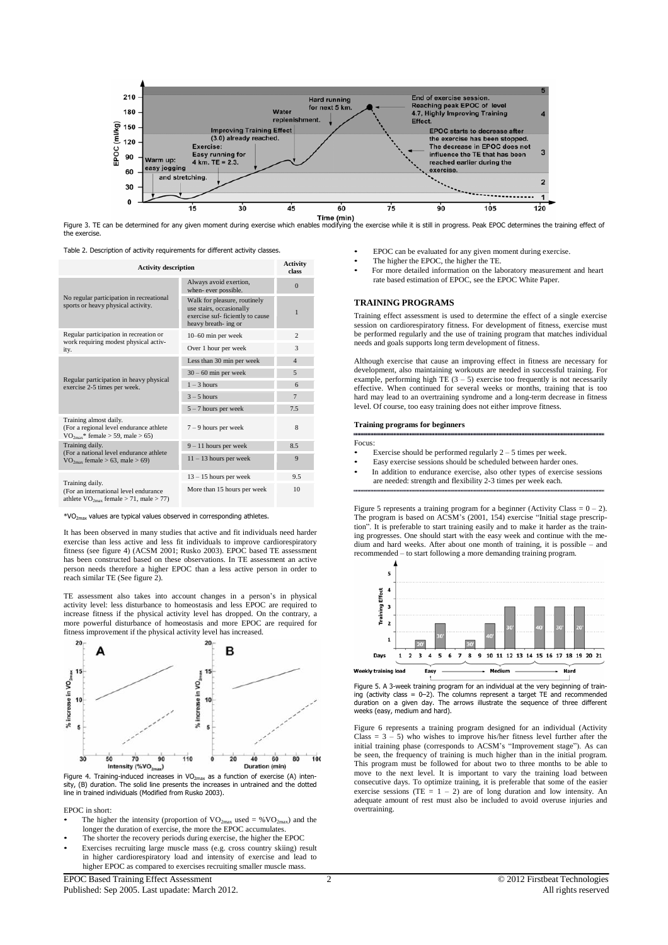

Figure 3. TE can be determined for any given moment during exercise which enables modifying the exercise while it is still in progress. Peak EPOC determines the training effect of the exercise.

Table 2. Description of activity requirements for different activity classes.

| <b>Activity description</b>                                                                                    | <b>Activity</b><br>class                                                                                             |                |
|----------------------------------------------------------------------------------------------------------------|----------------------------------------------------------------------------------------------------------------------|----------------|
|                                                                                                                | Always avoid exertion,<br>when-ever possible.                                                                        | $\Omega$       |
| No regular participation in recreational<br>sports or heavy physical activity.                                 | Walk for pleasure, routinely<br>use stairs, occasionally<br>exercise suf- ficiently to cause<br>heavy breath- ing or | 1              |
| Regular participation in recreation or<br>work requiring modest physical activ-                                | 10-60 min per week                                                                                                   | $\overline{c}$ |
| ity.                                                                                                           | Over 1 hour per week                                                                                                 | 3              |
|                                                                                                                | Less than 30 min per week                                                                                            | $\overline{4}$ |
| Regular participation in heavy physical<br>exercise 2-5 times per week.                                        | $30 - 60$ min per week                                                                                               | 5              |
|                                                                                                                | $1 - 3$ hours                                                                                                        | 6              |
|                                                                                                                | $3 - 5$ hours                                                                                                        | $\overline{7}$ |
|                                                                                                                | $5 - 7$ hours per week                                                                                               | 7.5            |
| Training almost daily.<br>(For a regional level endurance athlete<br>$\rm VO_{2max}$ * female > 59, male > 65) | $7 - 9$ hours per week                                                                                               | 8              |
| Training daily.<br>(For a national level endurance athlete                                                     | $9 - 11$ hours per week                                                                                              | 8.5            |
| $VO_{2max}$ female > 63, male > 69)                                                                            | $11 - 13$ hours per week                                                                                             | 9              |
|                                                                                                                | $13 - 15$ hours per week                                                                                             | 9.5            |
| Training daily.<br>(For an international level endurance<br>athlete $VO_{2max}$ female > 71, male > 77)        | More than 15 hours per week                                                                                          | 10             |

\*VO2max values are typical values observed in corresponding athletes.

It has been observed in many studies that active and fit individuals need harder exercise than less active and less fit individuals to improve cardiorespiratory fitness (see figure 4) (ACSM 2001; Rusko 2003). EPOC based TE assessment has been constructed based on these observations. In TE assessment an active person needs therefore a higher EPOC than a less active person in order to reach similar TE (See figure 2).

TE assessment also takes into account changes in a person's in physical activity level: less disturbance to homeostasis and less EPOC are required to increase fitness if the physical activity level has dropped. On the contrary, a more powerful disturbance of homeostasis and more EPOC are required for fitness improvement if the physical activity level has increased.



Figure 4. Training-induced increases in  $VO<sub>2max</sub>$  as a function of exercise (A) intensity, (B) duration. The solid line presents the increases in untrained and the dotted line in trained individuals (Modified from Rusko 2003).

EPOC in short:

- The higher the intensity (proportion of  $VO_{2max}$  used = % $VO_{2max}$ ) and the longer the duration of exercise, the more the EPOC accumulates.
- The shorter the recovery periods during exercise, the higher the EPOC
- Exercises recruiting large muscle mass (e.g. cross country skiing) result in higher cardiorespiratory load and intensity of exercise and lead to higher EPOC as compared to exercises recruiting smaller muscle mass.
- EPOC can be evaluated for any given moment during exercise.
- The higher the EPOC, the higher the TE.
- For more detailed information on the laboratory measurement and heart rate based estimation of EPOC, see the EPOC White Paper.

## **TRAINING PROGRAMS**

Training effect assessment is used to determine the effect of a single exercise session on cardiorespiratory fitness. For development of fitness, exercise must be performed regularly and the use of training program that matches individual needs and goals supports long term development of fitness.

Although exercise that cause an improving effect in fitness are necessary for development, also maintaining workouts are needed in successful training. For example, performing high TE  $(3 - 5)$  exercise too frequently is not necessarily effective. When continued for several weeks or months, training that is too hard may lead to an overtraining syndrome and a long-term decrease in fitness level. Of course, too easy training does not either improve fitness.

## **Training programs for beginners**

Focus

- Exercise should be performed regularly  $2 5$  times per week.
- Easy exercise sessions should be scheduled between harder ones.
- In addition to endurance exercise, also other types of exercise sessions are needed: strength and flexibility 2-3 times per week each.

Figure 5 represents a training program for a beginner (Activity Class =  $0 - 2$ ). The program is based on ACSM's (2001, 154) exercise "Initial stage prescription". It is preferable to start training easily and to make it harder as the training progresses. One should start with the easy week and continue with the medium and hard weeks. After about one month of training, it is possible – and recommended – to start following a more demanding training program.



Figure 5. A 3-week training program for an individual at the very beginning of training (activity class = 0–2). The columns represent a target TE and recommended duration on a given day. The arrows illustrate the sequence of three different weeks (easy, medium and hard).

Figure 6 represents a training program designed for an individual (Activity Class  $= 3 - 5$ ) who wishes to improve his/her fitness level further after the initial training phase (corresponds to ACSM's "Improvement stage"). As can be seen, the frequency of training is much higher than in the initial program. This program must be followed for about two to three months to be able to move to the next level. It is important to vary the training load between consecutive days. To optimize training, it is preferable that some of the easier exercise sessions (TE  $= 1 - 2$ ) are of long duration and low intensity. An adequate amount of rest must also be included to avoid overuse injuries and overtraining.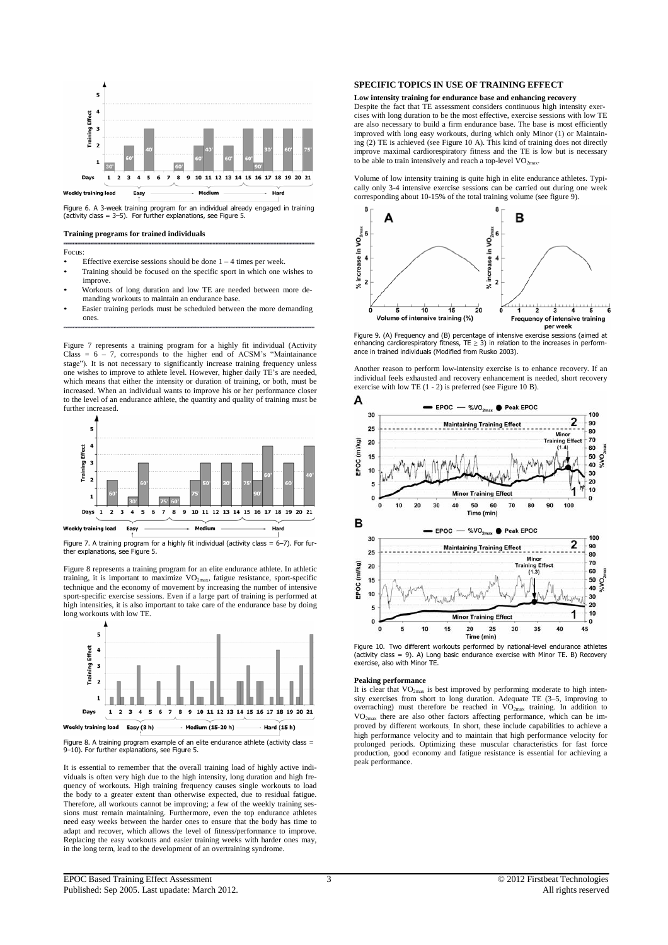

Figure 6. A 3-week training program for an individual already engaged in training (activity class = 3–5). For further explanations, see Figure 5.

**Training programs for trained individuals**

## Focus:

- Effective exercise sessions should be done  $1 4$  times per week.
- Training should be focused on the specific sport in which one wishes to improve.
- Workouts of long duration and low TE are needed between more demanding workouts to maintain an endurance base.
- Easier training periods must be scheduled between the more demanding ones.

Figure 7 represents a training program for a highly fit individual (Activity Class =  $6 - 7$ , corresponds to the higher end of ACSM's "Maintainance stage"). It is not necessary to significantly increase training frequency unless one wishes to improve to athlete level. However, higher daily TE's are needed, which means that either the intensity or duration of training, or both, must be increased. When an individual wants to improve his or her performance closer to the level of an endurance athlete, the quantity and quality of training must be further increased.



Figure 7. A training program for a highly fit individual (activity class = 6–7). For fur-ther explanations, see Figure 5.

Figure 8 represents a training program for an elite endurance athlete. In athletic training, it is important to maximize VO<sub>2max</sub>, fatigue resistance, sport-specific technique and the economy of movement by increasing the number of intensive sport-specific exercise sessions. Even if a large part of training is performed at high intensities, it is also important to take care of the endurance base by doing long workouts with low TE.



Figure 8. A training program example of an elite endurance athlete (activity class = 9–10). For further explanations, see Figure 5.

It is essential to remember that the overall training load of highly active individuals is often very high due to the high intensity, long duration and high frequency of workouts. High training frequency causes single workouts to load the body to a greater extent than otherwise expected, due to residual fatigue. Therefore, all workouts cannot be improving; a few of the weekly training sessions must remain maintaining. Furthermore, even the top endurance athletes need easy weeks between the harder ones to ensure that the body has time to adapt and recover, which allows the level of fitness/performance to improve. Replacing the easy workouts and easier training weeks with harder ones may, in the long term, lead to the development of an overtraining syndrome.

## **SPECIFIC TOPICS IN USE OF TRAINING EFFECT**

**Low intensity training for endurance base and enhancing recovery**

Despite the fact that TE assessment considers continuous high intensity exercises with long duration to be the most effective, exercise sessions with low TE are also necessary to build a firm endurance base. The base is most efficiently improved with long easy workouts, during which only Minor (1) or Maintaining (2) TE is achieved (see Figure 10 A). This kind of training does not directly improve maximal cardiorespiratory fitness and the TE is low but is necessary to be able to train intensively and reach a top-level  $VO<sub>2max</sub>$ </sub>.

Volume of low intensity training is quite high in elite endurance athletes. Typically only 3-4 intensive exercise sessions can be carried out during one week corresponding about 10-15% of the total training volume (see figure 9).



Figure 9. (A) Frequency and (B) percentage of intensive exercise sessions (aimed at enhancing cardiorespiratory fitness, TE ≥ 3) in relation to the increases in performance in trained individuals (Modified from Rusko 2003).

Another reason to perform low-intensity exercise is to enhance recovery. If an individual feels exhausted and recovery enhancement is needed, short recovery exercise with low TE (1 - 2) is preferred (see Figure 10 B).



Figure 10. Two different workouts performed by national-level endurance athletes (activity class = 9). A) Long basic endurance exercise with Minor TE**.** B) Recovery exercise, also with Minor TE.

#### **Peaking performance**

It is clear that  $VO<sub>2max</sub>$  is best improved by performing moderate to high intensity exercises from short to long duration. Adequate TE (3–5, improving to overraching) must therefore be reached in VO2max training. In addition to VO2max there are also other factors affecting performance, which can be improved by different workouts. In short, these include capabilities to achieve a high performance velocity and to maintain that high performance velocity for prolonged periods. Optimizing these muscular characteristics for fast force production, good economy and fatigue resistance is essential for achieving a peak performance.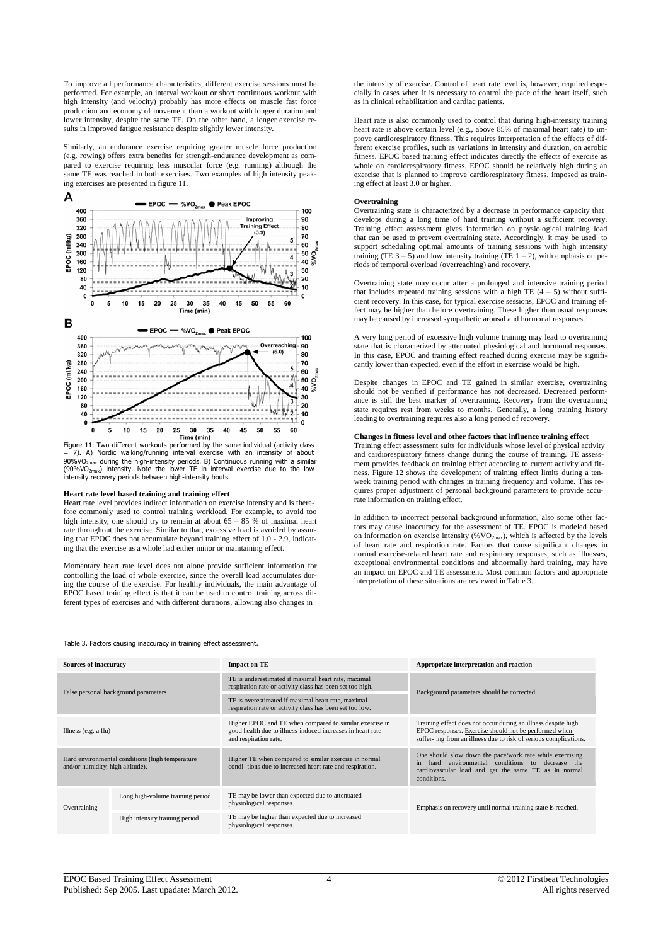To improve all performance characteristics, different exercise sessions must be performed. For example, an interval workout or short continuous workout with high intensity (and velocity) probably has more effects on muscle fast force production and economy of movement than a workout with longer duration and lower intensity, despite the same TE. On the other hand, a longer exercise results in improved fatigue resistance despite slightly lower intensity.

Similarly, an endurance exercise requiring greater muscle force production (e.g. rowing) offers extra benefits for strength-endurance development as compared to exercise requiring less muscular force (e.g. running) although the same TE was reached in both exercises. Two examples of high intensity peaking exercises are presented in figure 11.



Figure 11. Two different workouts performed by the same individual (activity class = 7). A) Nordic walking/running interval exercise with an intensity of about  $90\%$ VO<sub>2max</sub> during the high-intensity periods. B) Continuous running with a similar (90%VO<sub>2max</sub>) intensity. Note the lower TE in interval exercise due to the lowintensity recovery periods between high-intensity bouts.

## **Heart rate level based training and training effect**

Heart rate level provides indirect information on exercise intensity and is therefore commonly used to control training workload. For example, to avoid too high intensity, one should try to remain at about 65 – 85 % of maximal heart rate throughout the exercise. Similar to that, excessive load is avoided by assuring that EPOC does not accumulate beyond training effect of 1.0 - 2.9, indicating that the exercise as a whole had either minor or maintaining effect.

Momentary heart rate level does not alone provide sufficient information for controlling the load of whole exercise, since the overall load accumulates during the course of the exercise. For healthy individuals, the main advantage of EPOC based training effect is that it can be used to control training across different types of exercises and with different durations, allowing also changes in

the intensity of exercise. Control of heart rate level is, however, required especially in cases when it is necessary to control the pace of the heart itself, such as in clinical rehabilitation and cardiac patients.

Heart rate is also commonly used to control that during high-intensity training heart rate is above certain level (e.g., above 85% of maximal heart rate) to improve cardiorespiratory fitness. This requires interpretation of the effects of different exercise profiles, such as variations in intensity and duration, on aerobic fitness. EPOC based training effect indicates directly the effects of exercise as whole on cardiorespiratory fitness. EPOC should be relatively high during an exercise that is planned to improve cardiorespiratory fitness, imposed as training effect at least 3.0 or higher.

## **Overtraining**

Overtraining state is characterized by a decrease in performance capacity that develops during a long time of hard training without a sufficient recovery. Training effect assessment gives information on physiological training load that can be used to prevent overtraining state. Accordingly, it may be used to support scheduling optimal amounts of training sessions with high intensity training (TE  $3 - 5$ ) and low intensity training (TE  $1 - 2$ ), with emphasis on periods of temporal overload (overreaching) and recovery.

Overtraining state may occur after a prolonged and intensive training period that includes repeated training sessions with a high TE  $(4 - 5)$  without sufficient recovery. In this case, for typical exercise sessions, EPOC and training effect may be higher than before overtraining. These higher than usual responses may be caused by increased sympathetic arousal and hormonal responses.

A very long period of excessive high volume training may lead to overtraining state that is characterized by attenuated physiological and hormonal responses. In this case, EPOC and training effect reached during exercise may be significantly lower than expected, even if the effort in exercise would be high.

Despite changes in EPOC and TE gained in similar exercise, overtraining should not be verified if performance has not decreased. Decreased performance is still the best marker of overtraining. Recovery from the overtraining state requires rest from weeks to months. Generally, a long training history leading to overtraining requires also a long period of recovery.

## **Changes in fitness level and other factors that influence training effect**

Training effect assessment suits for individuals whose level of physical activity and cardiorespiratory fitness change during the course of training. TE assessment provides feedback on training effect according to current activity and fitness. Figure 12 shows the development of training effect limits during a tenweek training period with changes in training frequency and volume. This requires proper adjustment of personal background parameters to provide accurate information on training effect.

In addition to incorrect personal background information, also some other factors may cause inaccuracy for the assessment of TE. EPOC is modeled based on information on exercise intensity (% $VO<sub>2max</sub>$ ), which is affected by the levels of heart rate and respiration rate. Factors that cause significant changes in normal exercise-related heart rate and respiratory responses, such as illnesses, exceptional environmental conditions and abnormally hard training, may have an impact on EPOC and TE assessment. Most common factors and appropriate interpretation of these situations are reviewed in Table 3.

#### Table 3. Factors causing inaccuracy in training effect assessment.

| <b>Sources of inaccuracy</b>                                                        |                                   | <b>Impact on TE</b>                                                                                                                            | Appropriate interpretation and reaction                                                                                                                                                     |  |
|-------------------------------------------------------------------------------------|-----------------------------------|------------------------------------------------------------------------------------------------------------------------------------------------|---------------------------------------------------------------------------------------------------------------------------------------------------------------------------------------------|--|
| False personal background parameters                                                |                                   | TE is underestimated if maximal heart rate, maximal<br>respiration rate or activity class has been set too high.                               | Background parameters should be corrected.                                                                                                                                                  |  |
|                                                                                     |                                   | TE is overestimated if maximal heart rate, maximal<br>respiration rate or activity class has been set too low.                                 |                                                                                                                                                                                             |  |
| Illness $(e.g. a flu)$                                                              |                                   | Higher EPOC and TE when compared to similar exercise in<br>good health due to illness-induced increases in heart rate<br>and respiration rate. | Training effect does not occur during an illness despite high<br>EPOC responses. Exercise should not be performed when<br>suffer- ing from an illness due to risk of serious complications. |  |
| Hard environmental conditions (high temperature<br>and/or humidity, high altitude). |                                   | Higher TE when compared to similar exercise in normal<br>condi-tions due to increased heart rate and respiration.                              | One should slow down the pace/work rate while exercising<br>environmental conditions to decrease the<br>in<br>hard<br>cardiovascular load and get the same TE as in normal<br>conditions.   |  |
| Overtraining                                                                        | Long high-volume training period. | TE may be lower than expected due to attenuated<br>physiological responses.                                                                    | Emphasis on recovery until normal training state is reached.                                                                                                                                |  |
|                                                                                     | High intensity training period    | TE may be higher than expected due to increased<br>physiological responses.                                                                    |                                                                                                                                                                                             |  |